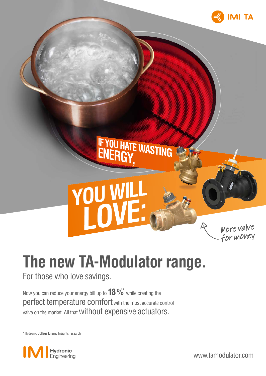

## **YOU W** More valve for money

IF YOU HATE WASTING

### **The new TA-Modulator range.**

For those who love savings.

Now you can reduce your energy bill up to **18 %**\* while creating the perfect temperature comfort with the most accurate control valve on the market. All that Without expensive actuators.

\* Hydronic College Energy Insights research



www.tamodulator.com